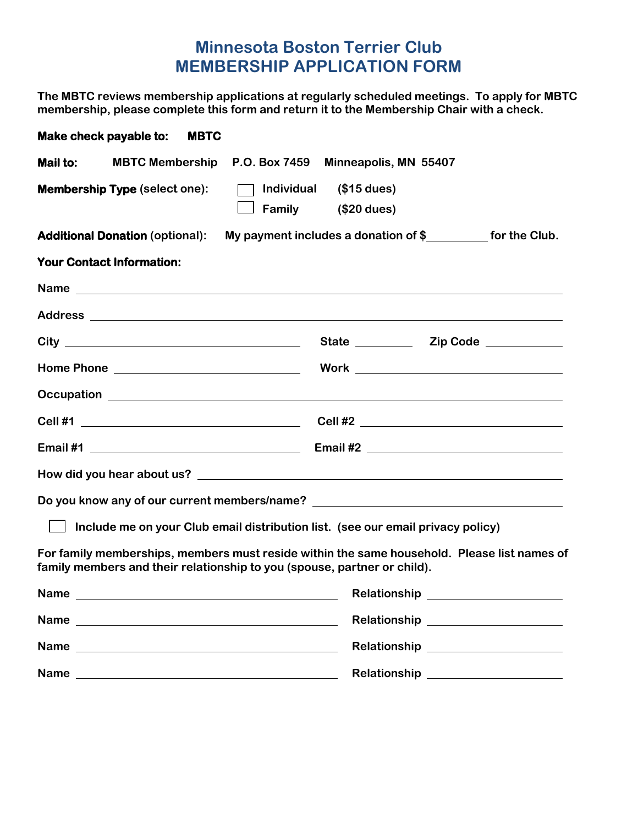# **Minnesota Boston Terrier Club MEMBERSHIP APPLICATION FORM**

**The MBTC reviews membership applications at regularly scheduled meetings. To apply for MBTC membership, please complete this form and return it to the Membership Chair with a check.** 

|                 | Make check payable to:<br><b>MBTC</b>                                                                                                                                   |                                                              |                       |                                      |                                    |
|-----------------|-------------------------------------------------------------------------------------------------------------------------------------------------------------------------|--------------------------------------------------------------|-----------------------|--------------------------------------|------------------------------------|
| <b>Mail to:</b> | <b>MBTC Membership</b>                                                                                                                                                  | P.O. Box 7459                                                | Minneapolis, MN 55407 |                                      |                                    |
|                 | <b>Membership Type (select one):</b>                                                                                                                                    | Individual                                                   | $($15$ dues)          |                                      |                                    |
|                 |                                                                                                                                                                         | <b>Family</b>                                                | (\$20 dues)           |                                      |                                    |
|                 | <b>Additional Donation (optional):</b>                                                                                                                                  | My payment includes a donation of \$__________ for the Club. |                       |                                      |                                    |
|                 | <b>Your Contact Information:</b>                                                                                                                                        |                                                              |                       |                                      |                                    |
|                 |                                                                                                                                                                         |                                                              |                       |                                      |                                    |
|                 |                                                                                                                                                                         |                                                              |                       |                                      |                                    |
|                 |                                                                                                                                                                         |                                                              |                       |                                      |                                    |
|                 |                                                                                                                                                                         |                                                              |                       |                                      |                                    |
|                 |                                                                                                                                                                         |                                                              |                       |                                      |                                    |
|                 |                                                                                                                                                                         |                                                              |                       |                                      |                                    |
|                 |                                                                                                                                                                         |                                                              |                       |                                      |                                    |
|                 |                                                                                                                                                                         |                                                              |                       |                                      |                                    |
|                 | Do you know any of our current members/name? ___________________________________                                                                                        |                                                              |                       |                                      |                                    |
|                 | Include me on your Club email distribution list. (see our email privacy policy)                                                                                         |                                                              |                       |                                      |                                    |
|                 | For family memberships, members must reside within the same household. Please list names of<br>family members and their relationship to you (spouse, partner or child). |                                                              |                       |                                      |                                    |
| <b>Name</b>     |                                                                                                                                                                         |                                                              | Relationship          |                                      |                                    |
|                 |                                                                                                                                                                         |                                                              |                       | Relationship ______________________  |                                    |
|                 |                                                                                                                                                                         |                                                              |                       | Relationship _______________________ |                                    |
| <b>Name</b>     | <u> 1989 - Johann Barnett, fransk politiker (d. 1989)</u>                                                                                                               |                                                              |                       |                                      | Relationship _____________________ |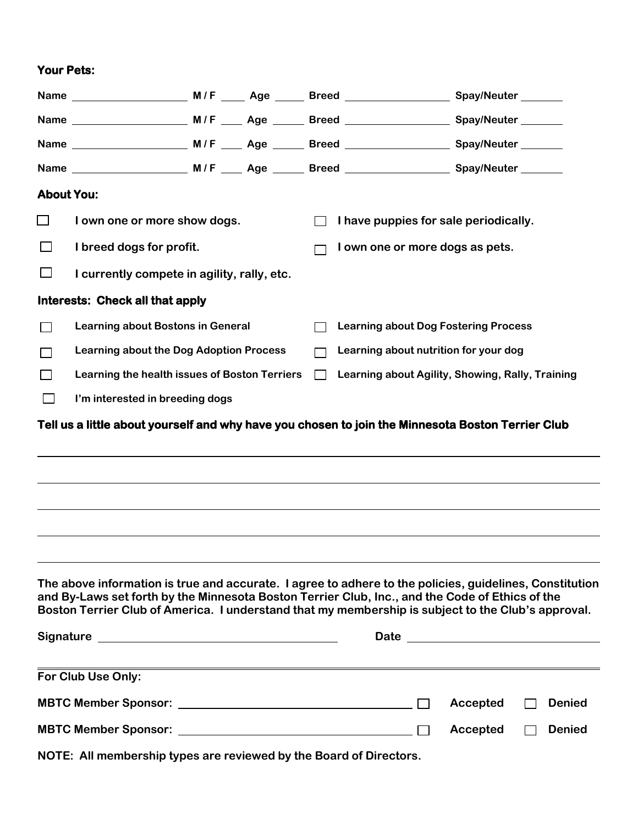|  | Your Pets: |
|--|------------|
|--|------------|

| <b>About You:</b>           |                                                                                                                                                                                                                                                                                                                  |  |              |                                                  |          |               |
|-----------------------------|------------------------------------------------------------------------------------------------------------------------------------------------------------------------------------------------------------------------------------------------------------------------------------------------------------------|--|--------------|--------------------------------------------------|----------|---------------|
| $\mathcal{L}_{\mathcal{A}}$ | I own one or more show dogs.                                                                                                                                                                                                                                                                                     |  |              | I have puppies for sale periodically.            |          |               |
| $\mathsf{L}$                | I breed dogs for profit.                                                                                                                                                                                                                                                                                         |  |              | I own one or more dogs as pets.                  |          |               |
| $\Box$                      | I currently compete in agility, rally, etc.                                                                                                                                                                                                                                                                      |  |              |                                                  |          |               |
|                             | Interests: Check all that apply                                                                                                                                                                                                                                                                                  |  |              |                                                  |          |               |
|                             | <b>Learning about Bostons in General</b>                                                                                                                                                                                                                                                                         |  |              | <b>Learning about Dog Fostering Process</b>      |          |               |
|                             | Learning about the Dog Adoption Process                                                                                                                                                                                                                                                                          |  | $\Box$       | Learning about nutrition for your dog            |          |               |
|                             | Learning the health issues of Boston Terriers                                                                                                                                                                                                                                                                    |  | $\mathbf{I}$ | Learning about Agility, Showing, Rally, Training |          |               |
|                             | I'm interested in breeding dogs                                                                                                                                                                                                                                                                                  |  |              |                                                  |          |               |
|                             |                                                                                                                                                                                                                                                                                                                  |  |              |                                                  |          |               |
|                             | The above information is true and accurate. I agree to adhere to the policies, guidelines, Constitution<br>and By-Laws set forth by the Minnesota Boston Terrier Club, Inc., and the Code of Ethics of the<br>Boston Terrier Club of America. I understand that my membership is subject to the Club's approval. |  |              |                                                  |          |               |
|                             |                                                                                                                                                                                                                                                                                                                  |  |              |                                                  |          |               |
|                             | For Club Use Only:                                                                                                                                                                                                                                                                                               |  |              |                                                  |          |               |
|                             |                                                                                                                                                                                                                                                                                                                  |  |              |                                                  | Accepted | <b>Denied</b> |
|                             |                                                                                                                                                                                                                                                                                                                  |  |              |                                                  | Accepted | <b>Denied</b> |
|                             | NOTE: All membership types are reviewed by the Board of Directors.                                                                                                                                                                                                                                               |  |              |                                                  |          |               |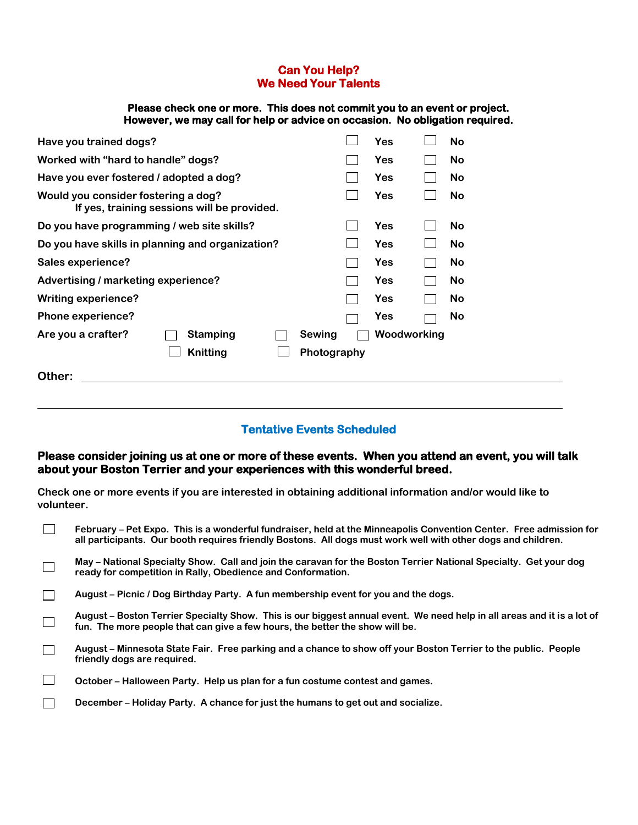# **Can You Help? We Need Your Talents**

#### **Please check one or more. This does not commit you to an event or project. However, we may call for help or advice on occasion. No obligation required.**

| Have you trained dogs?                           |                                             |                       | Yes |             | <b>No</b> |
|--------------------------------------------------|---------------------------------------------|-----------------------|-----|-------------|-----------|
| Worked with "hard to handle" dogs?               |                                             |                       | Yes |             | <b>No</b> |
| Have you ever fostered / adopted a dog?          |                                             |                       | Yes |             | No        |
| Would you consider fostering a dog?              | If yes, training sessions will be provided. |                       | Yes |             | <b>No</b> |
| Do you have programming / web site skills?       |                                             |                       | Yes |             | <b>No</b> |
| Do you have skills in planning and organization? |                                             |                       | Yes |             | <b>No</b> |
| Sales experience?                                |                                             |                       | Yes |             | No        |
| Advertising / marketing experience?              |                                             |                       | Yes |             | No        |
| <b>Writing experience?</b>                       |                                             |                       | Yes |             | No        |
| Phone experience?                                |                                             |                       | Yes |             | <b>No</b> |
| Are you a crafter?                               | <b>Stamping</b><br><b>Knitting</b>          | Sewing<br>Photography |     | Woodworking |           |
| Other:                                           |                                             |                       |     |             |           |
|                                                  |                                             |                       |     |             |           |

### **Tentative Events Scheduled**

#### **Please consider joining us at one or more of these events. When you attend an event, you will talk about your Boston Terrier and your experiences with this wonderful breed.**

|            | Check one or more events if you are interested in obtaining additional information and/or would like to |
|------------|---------------------------------------------------------------------------------------------------------|
| volunteer. |                                                                                                         |

| February – Pet Expo. This is a wonderful fundraiser, held at the Minneapolis Convention Center. Free admission for |
|--------------------------------------------------------------------------------------------------------------------|
| all participants. Our booth requires friendly Bostons. All dogs must work well with other dogs and children.       |
|                                                                                                                    |

|  | May – National Specialty Show. Call and join the caravan for the Boston Terrier National Specialty. Get your dog |  |
|--|------------------------------------------------------------------------------------------------------------------|--|
|  | ready for competition in Rally, Obedience and Conformation.                                                      |  |

 **August - Picnic / Dog Birthday Party. A fun membership event for you and the dogs.** 

| and the state of the state of the |                                                                              | August – Boston Terrier Specialty Show. This is our biggest annual event. We need help in all areas and it is a lot of |
|-----------------------------------|------------------------------------------------------------------------------|------------------------------------------------------------------------------------------------------------------------|
|                                   | fun. The more people that can give a few hours, the better the show will be. |                                                                                                                        |

- **August – Minnesota State Fair. Free parking and a chance to show off your Boston Terrier to the public. People friendly dogs are required.**
- **October – Halloween Party. Help us plan for a fun costume contest and games.**
- **1** December Holiday Party. A chance for just the humans to get out and socialize.